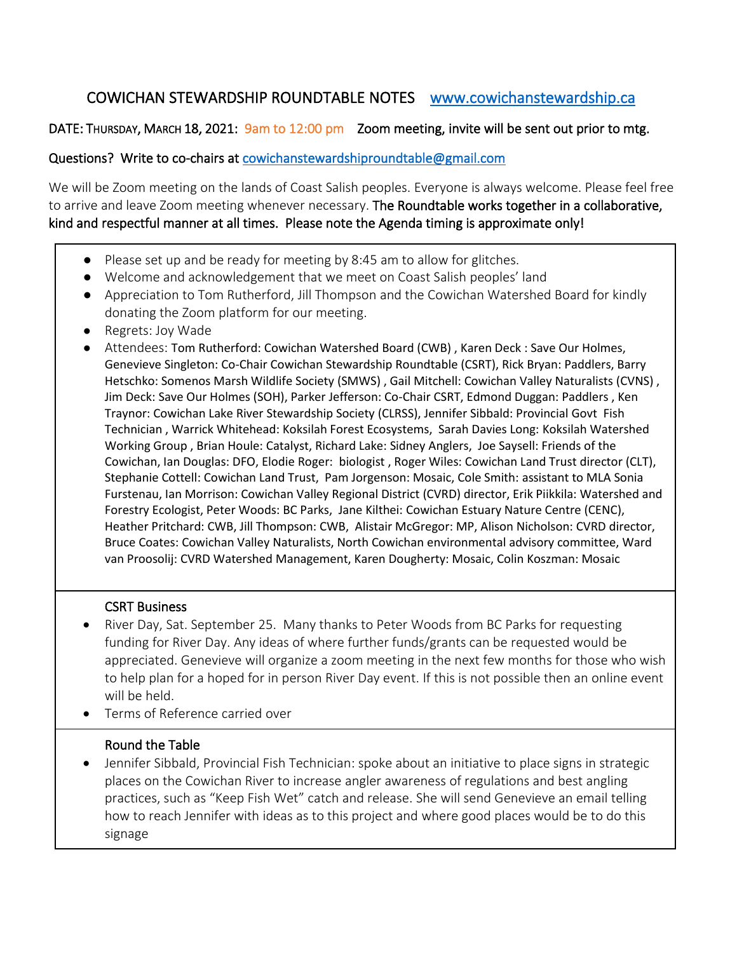## COWICHAN STEWARDSHIP ROUNDTABLE NOTES [www.cowichanstewardship.ca](http://www.cowichanstewardship.ca/)

### DATE: THURSDAY, MARCH 18, 2021: 9am to 12:00 pm Zoom meeting, invite will be sent out prior to mtg.

#### Questions? Write to co-chairs at [cowichanstewardshiproundtable@gmail.com](mailto:cowichanstewardshiproundtable@gmail.com)

We will be Zoom meeting on the lands of Coast Salish peoples. Everyone is always welcome. Please feel free to arrive and leave Zoom meeting whenever necessary. The Roundtable works together in a collaborative, kind and respectful manner at all times. Please note the Agenda timing is approximate only!

- Please set up and be ready for meeting by 8:45 am to allow for glitches.
- Welcome and acknowledgement that we meet on Coast Salish peoples' land
- Appreciation to Tom Rutherford, Jill Thompson and the Cowichan Watershed Board for kindly donating the Zoom platform for our meeting.
- Regrets: Joy Wade
- Attendees: Tom Rutherford: Cowichan Watershed Board (CWB), Karen Deck : Save Our Holmes, Genevieve Singleton: Co-Chair Cowichan Stewardship Roundtable (CSRT), Rick Bryan: Paddlers, Barry Hetschko: Somenos Marsh Wildlife Society (SMWS) , Gail Mitchell: Cowichan Valley Naturalists (CVNS) , Jim Deck: Save Our Holmes (SOH), Parker Jefferson: Co-Chair CSRT, Edmond Duggan: Paddlers , Ken Traynor: Cowichan Lake River Stewardship Society (CLRSS), Jennifer Sibbald: Provincial Govt Fish Technician , Warrick Whitehead: Koksilah Forest Ecosystems, Sarah Davies Long: Koksilah Watershed Working Group , Brian Houle: Catalyst, Richard Lake: Sidney Anglers, Joe Saysell: Friends of the Cowichan, Ian Douglas: DFO, Elodie Roger: biologist , Roger Wiles: Cowichan Land Trust director (CLT), Stephanie Cottell: Cowichan Land Trust, Pam Jorgenson: Mosaic, Cole Smith: assistant to MLA Sonia Furstenau, Ian Morrison: Cowichan Valley Regional District (CVRD) director, Erik Piikkila: Watershed and Forestry Ecologist, Peter Woods: BC Parks, Jane Kilthei: Cowichan Estuary Nature Centre (CENC), Heather Pritchard: CWB, Jill Thompson: CWB, Alistair McGregor: MP, Alison Nicholson: CVRD director, Bruce Coates: Cowichan Valley Naturalists, North Cowichan environmental advisory committee, Ward van Proosolij: CVRD Watershed Management, Karen Dougherty: Mosaic, Colin Koszman: Mosaic

#### CSRT Business

- River Day, Sat. September 25. Many thanks to Peter Woods from BC Parks for requesting funding for River Day. Any ideas of where further funds/grants can be requested would be appreciated. Genevieve will organize a zoom meeting in the next few months for those who wish to help plan for a hoped for in person River Day event. If this is not possible then an online event will be held.
- Terms of Reference carried over

#### Round the Table

• Jennifer Sibbald, Provincial Fish Technician: spoke about an initiative to place signs in strategic places on the Cowichan River to increase angler awareness of regulations and best angling practices, such as "Keep Fish Wet" catch and release. She will send Genevieve an email telling how to reach Jennifer with ideas as to this project and where good places would be to do this signage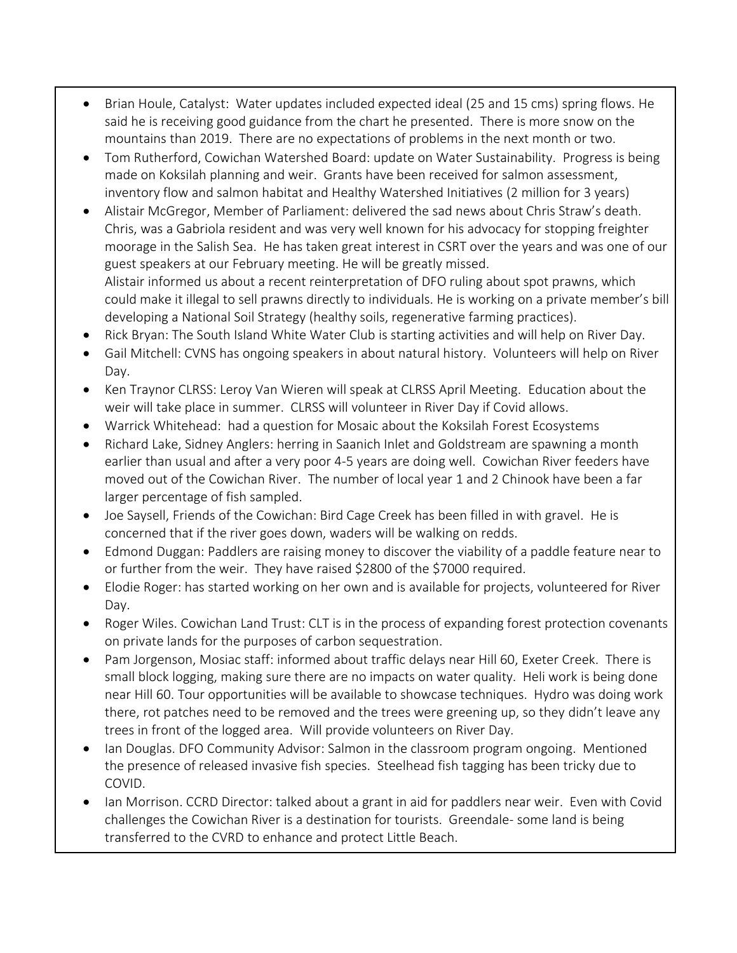- Brian Houle, Catalyst: Water updates included expected ideal (25 and 15 cms) spring flows. He said he is receiving good guidance from the chart he presented. There is more snow on the mountains than 2019. There are no expectations of problems in the next month or two.
- Tom Rutherford, Cowichan Watershed Board: update on Water Sustainability. Progress is being made on Koksilah planning and weir. Grants have been received for salmon assessment, inventory flow and salmon habitat and Healthy Watershed Initiatives (2 million for 3 years)
- Alistair McGregor, Member of Parliament: delivered the sad news about Chris Straw's death. Chris, was a Gabriola resident and was very well known for his advocacy for stopping freighter moorage in the Salish Sea. He has taken great interest in CSRT over the years and was one of our guest speakers at our February meeting. He will be greatly missed. Alistair informed us about a recent reinterpretation of DFO ruling about spot prawns, which could make it illegal to sell prawns directly to individuals. He is working on a private member's bill
- developing a National Soil Strategy (healthy soils, regenerative farming practices). • Rick Bryan: The South Island White Water Club is starting activities and will help on River Day.
- Gail Mitchell: CVNS has ongoing speakers in about natural history. Volunteers will help on River
- Day. • Ken Traynor CLRSS: Leroy Van Wieren will speak at CLRSS April Meeting. Education about the weir will take place in summer. CLRSS will volunteer in River Day if Covid allows.
- Warrick Whitehead: had a question for Mosaic about the Koksilah Forest Ecosystems
- Richard Lake, Sidney Anglers: herring in Saanich Inlet and Goldstream are spawning a month earlier than usual and after a very poor 4-5 years are doing well. Cowichan River feeders have moved out of the Cowichan River. The number of local year 1 and 2 Chinook have been a far larger percentage of fish sampled.
- Joe Saysell, Friends of the Cowichan: Bird Cage Creek has been filled in with gravel. He is concerned that if the river goes down, waders will be walking on redds.
- Edmond Duggan: Paddlers are raising money to discover the viability of a paddle feature near to or further from the weir. They have raised \$2800 of the \$7000 required.
- Elodie Roger: has started working on her own and is available for projects, volunteered for River Day.
- Roger Wiles. Cowichan Land Trust: CLT is in the process of expanding forest protection covenants on private lands for the purposes of carbon sequestration.
- Pam Jorgenson, Mosiac staff: informed about traffic delays near Hill 60, Exeter Creek. There is small block logging, making sure there are no impacts on water quality. Heli work is being done near Hill 60. Tour opportunities will be available to showcase techniques. Hydro was doing work there, rot patches need to be removed and the trees were greening up, so they didn't leave any trees in front of the logged area. Will provide volunteers on River Day.
- Ian Douglas. DFO Community Advisor: Salmon in the classroom program ongoing. Mentioned the presence of released invasive fish species. Steelhead fish tagging has been tricky due to COVID.
- Ian Morrison. CCRD Director: talked about a grant in aid for paddlers near weir. Even with Covid challenges the Cowichan River is a destination for tourists. Greendale- some land is being transferred to the CVRD to enhance and protect Little Beach.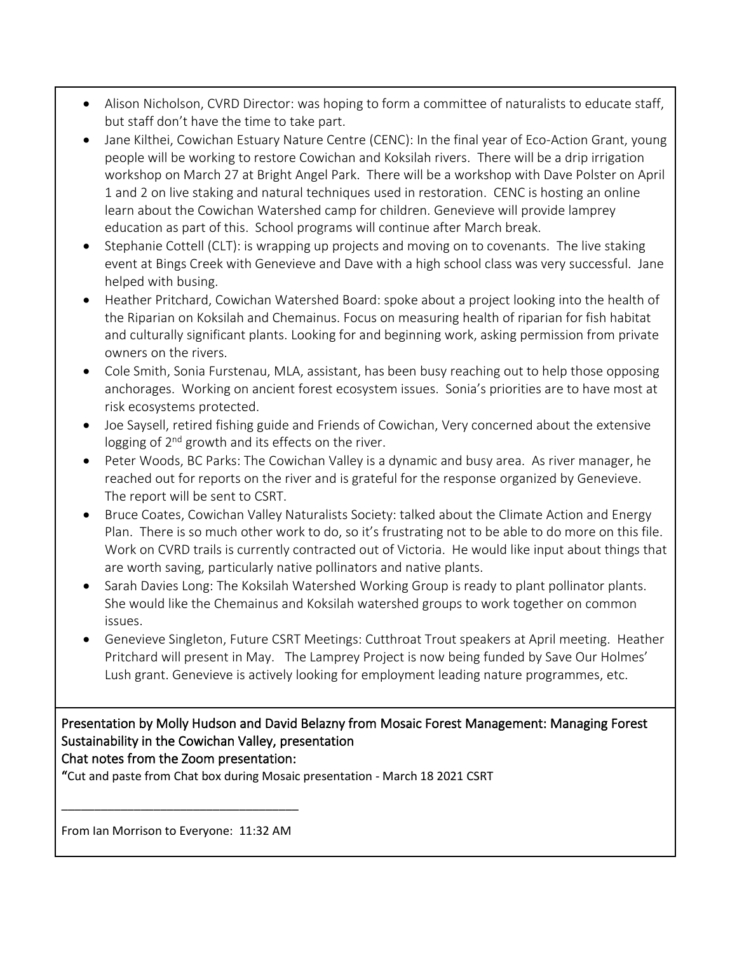- Alison Nicholson, CVRD Director: was hoping to form a committee of naturalists to educate staff, but staff don't have the time to take part.
- Jane Kilthei, Cowichan Estuary Nature Centre (CENC): In the final year of Eco-Action Grant, young people will be working to restore Cowichan and Koksilah rivers. There will be a drip irrigation workshop on March 27 at Bright Angel Park. There will be a workshop with Dave Polster on April 1 and 2 on live staking and natural techniques used in restoration. CENC is hosting an online learn about the Cowichan Watershed camp for children. Genevieve will provide lamprey education as part of this. School programs will continue after March break.
- Stephanie Cottell (CLT): is wrapping up projects and moving on to covenants. The live staking event at Bings Creek with Genevieve and Dave with a high school class was very successful. Jane helped with busing.
- Heather Pritchard, Cowichan Watershed Board: spoke about a project looking into the health of the Riparian on Koksilah and Chemainus. Focus on measuring health of riparian for fish habitat and culturally significant plants. Looking for and beginning work, asking permission from private owners on the rivers.
- Cole Smith, Sonia Furstenau, MLA, assistant, has been busy reaching out to help those opposing anchorages. Working on ancient forest ecosystem issues. Sonia's priorities are to have most at risk ecosystems protected.
- Joe Saysell, retired fishing guide and Friends of Cowichan, Very concerned about the extensive logging of 2<sup>nd</sup> growth and its effects on the river.
- Peter Woods, BC Parks: The Cowichan Valley is a dynamic and busy area. As river manager, he reached out for reports on the river and is grateful for the response organized by Genevieve. The report will be sent to CSRT.
- Bruce Coates, Cowichan Valley Naturalists Society: talked about the Climate Action and Energy Plan. There is so much other work to do, so it's frustrating not to be able to do more on this file. Work on CVRD trails is currently contracted out of Victoria. He would like input about things that are worth saving, particularly native pollinators and native plants.
- Sarah Davies Long: The Koksilah Watershed Working Group is ready to plant pollinator plants. She would like the Chemainus and Koksilah watershed groups to work together on common issues.
- Genevieve Singleton, Future CSRT Meetings: Cutthroat Trout speakers at April meeting. Heather Pritchard will present in May. The Lamprey Project is now being funded by Save Our Holmes' Lush grant. Genevieve is actively looking for employment leading nature programmes, etc.

# Presentation by Molly Hudson and David Belazny from Mosaic Forest Management: Managing Forest Sustainability in the Cowichan Valley, presentation

Chat notes from the Zoom presentation:

"Cut and paste from Chat box during Mosaic presentation - March 18 2021 CSRT

From Ian Morrison to Everyone: 11:32 AM

\_\_\_\_\_\_\_\_\_\_\_\_\_\_\_\_\_\_\_\_\_\_\_\_\_\_\_\_\_\_\_\_\_\_\_\_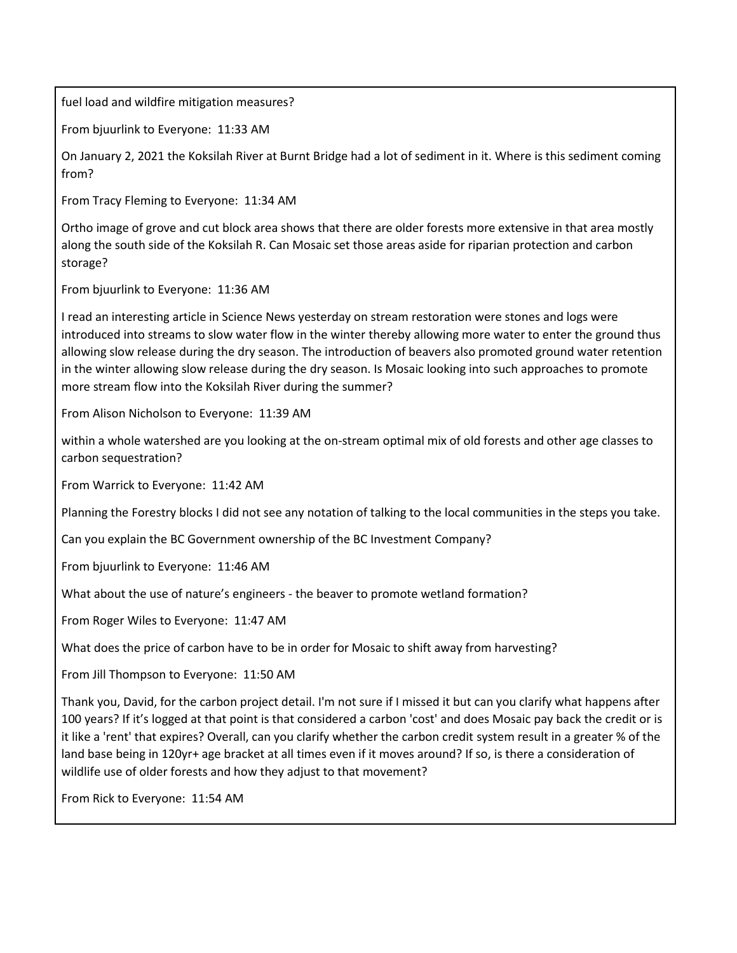fuel load and wildfire mitigation measures?

From bjuurlink to Everyone: 11:33 AM

On January 2, 2021 the Koksilah River at Burnt Bridge had a lot of sediment in it. Where is this sediment coming from?

From Tracy Fleming to Everyone: 11:34 AM

Ortho image of grove and cut block area shows that there are older forests more extensive in that area mostly along the south side of the Koksilah R. Can Mosaic set those areas aside for riparian protection and carbon storage?

From bjuurlink to Everyone: 11:36 AM

I read an interesting article in Science News yesterday on stream restoration were stones and logs were introduced into streams to slow water flow in the winter thereby allowing more water to enter the ground thus allowing slow release during the dry season. The introduction of beavers also promoted ground water retention in the winter allowing slow release during the dry season. Is Mosaic looking into such approaches to promote more stream flow into the Koksilah River during the summer?

From Alison Nicholson to Everyone: 11:39 AM

within a whole watershed are you looking at the on-stream optimal mix of old forests and other age classes to carbon sequestration?

From Warrick to Everyone: 11:42 AM

Planning the Forestry blocks I did not see any notation of talking to the local communities in the steps you take.

Can you explain the BC Government ownership of the BC Investment Company?

From bjuurlink to Everyone: 11:46 AM

What about the use of nature's engineers - the beaver to promote wetland formation?

From Roger Wiles to Everyone: 11:47 AM

What does the price of carbon have to be in order for Mosaic to shift away from harvesting?

From Jill Thompson to Everyone: 11:50 AM

Thank you, David, for the carbon project detail. I'm not sure if I missed it but can you clarify what happens after 100 years? If it's logged at that point is that considered a carbon 'cost' and does Mosaic pay back the credit or is it like a 'rent' that expires? Overall, can you clarify whether the carbon credit system result in a greater % of the land base being in 120yr+ age bracket at all times even if it moves around? If so, is there a consideration of wildlife use of older forests and how they adjust to that movement?

From Rick to Everyone: 11:54 AM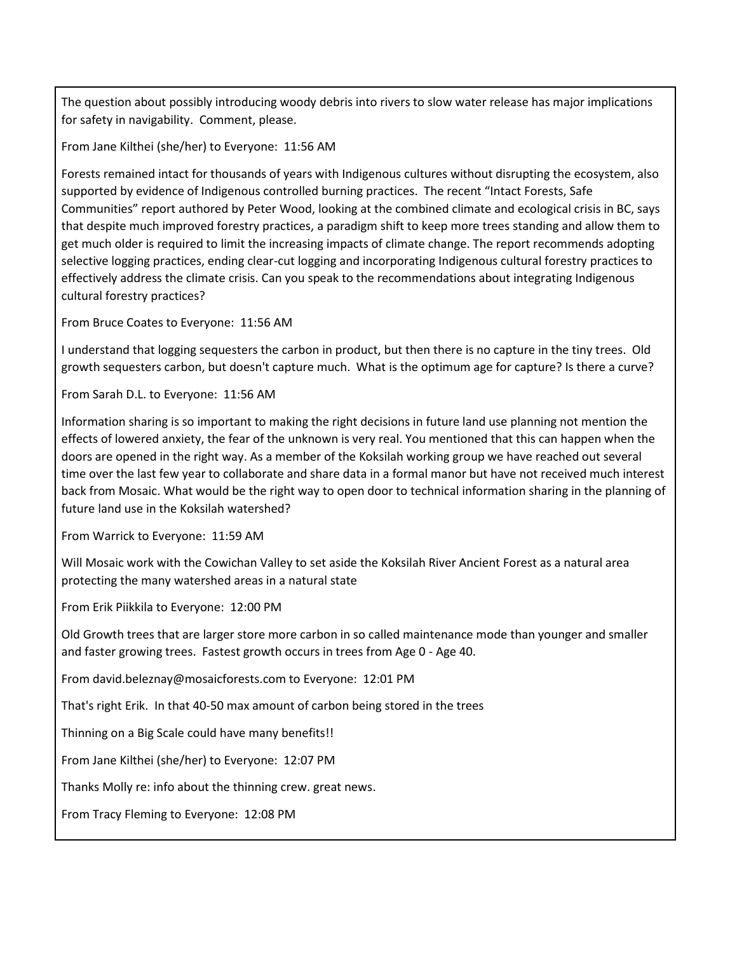The question about possibly introducing woody debris into rivers to slow water release has major implications for safety in navigability. Comment, please.

From Jane Kilthei (she/her) to Everyone: 11:56 AM

Forests remained intact for thousands of years with Indigenous cultures without disrupting the ecosystem, also supported by evidence of Indigenous controlled burning practices. The recent "Intact Forests, Safe Communities" report authored by Peter Wood, looking at the combined climate and ecological crisis in BC, says that despite much improved forestry practices, a paradigm shift to keep more trees standing and allow them to get much older is required to limit the increasing impacts of climate change. The report recommends adopting selective logging practices, ending clear-cut logging and incorporating Indigenous cultural forestry practices to effectively address the climate crisis. Can you speak to the recommendations about integrating Indigenous cultural forestry practices?

From Bruce Coates to Everyone: 11:56 AM

I understand that logging sequesters the carbon in product, but then there is no capture in the tiny trees. Old growth sequesters carbon, but doesn't capture much. What is the optimum age for capture? Is there a curve?

From Sarah D.L. to Everyone: 11:56 AM

Information sharing is so important to making the right decisions in future land use planning not mention the effects of lowered anxiety, the fear of the unknown is very real. You mentioned that this can happen when the doors are opened in the right way. As a member of the Koksilah working group we have reached out several time over the last few year to collaborate and share data in a formal manor but have not received much interest back from Mosaic. What would be the right way to open door to technical information sharing in the planning of future land use in the Koksilah watershed?

From Warrick to Everyone: 11:59 AM

Will Mosaic work with the Cowichan Valley to set aside the Koksilah River Ancient Forest as a natural area protecting the many watershed areas in a natural state

From Erik Piikkila to Everyone: 12:00 PM

Old Growth trees that are larger store more carbon in so called maintenance mode than younger and smaller and faster growing trees. Fastest growth occurs in trees from Age 0 - Age 40.

From david.beleznay@mosaicforests.com to Everyone: 12:01 PM

That's right Erik. In that 40-50 max amount of carbon being stored in the trees

Thinning on a Big Scale could have many benefits!!

From Jane Kilthei (she/her) to Everyone: 12:07 PM

Thanks Molly re: info about the thinning crew. great news.

From Tracy Fleming to Everyone: 12:08 PM